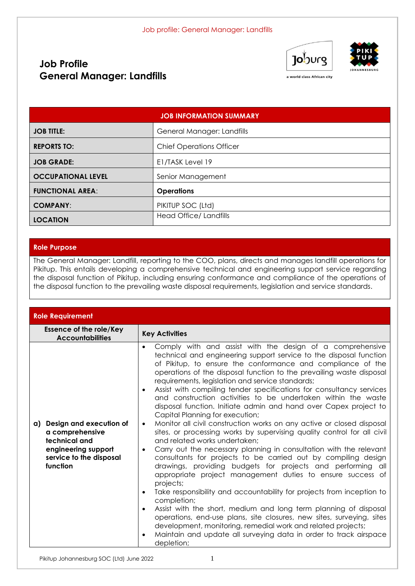# **Job Profile General Manager: Landfills**





a world class African city

| <b>JOB INFORMATION SUMMARY</b> |                                 |  |  |
|--------------------------------|---------------------------------|--|--|
| <b>JOB TITLE:</b>              | General Manager: Landfills      |  |  |
| <b>REPORTS TO:</b>             | <b>Chief Operations Officer</b> |  |  |
| <b>JOB GRADE:</b>              | E1/TASK Level 19                |  |  |
| <b>OCCUPATIONAL LEVEL</b>      | Senior Management               |  |  |
| <b>FUNCTIONAL AREA:</b>        | <b>Operations</b>               |  |  |
| <b>COMPANY:</b>                | PIKITUP SOC (Ltd)               |  |  |
| <b>LOCATION</b>                | <b>Head Office/ Landfills</b>   |  |  |

#### **Role Purpose**

The General Manager: Landfill, reporting to the COO, plans, directs and manages landfill operations for Pikitup. This entails developing a comprehensive technical and engineering support service regarding the disposal function of Pikitup, including ensuring conformance and compliance of the operations of the disposal function to the prevailing waste disposal requirements, legislation and service standards.

| <b>Role Requirement</b>                                                                                                      |                                                                                                                                                                                                                                                                                                                                                                                                                                                                                                                                                                                                                                                                                                                                                                                                                                                                                                                                                                                                                                                                                                                                                                                                                                                                                                                                                                                                                                                                                  |  |  |  |
|------------------------------------------------------------------------------------------------------------------------------|----------------------------------------------------------------------------------------------------------------------------------------------------------------------------------------------------------------------------------------------------------------------------------------------------------------------------------------------------------------------------------------------------------------------------------------------------------------------------------------------------------------------------------------------------------------------------------------------------------------------------------------------------------------------------------------------------------------------------------------------------------------------------------------------------------------------------------------------------------------------------------------------------------------------------------------------------------------------------------------------------------------------------------------------------------------------------------------------------------------------------------------------------------------------------------------------------------------------------------------------------------------------------------------------------------------------------------------------------------------------------------------------------------------------------------------------------------------------------------|--|--|--|
| <b>Essence of the role/Key</b><br><b>Accountabilities</b>                                                                    | <b>Key Activities</b>                                                                                                                                                                                                                                                                                                                                                                                                                                                                                                                                                                                                                                                                                                                                                                                                                                                                                                                                                                                                                                                                                                                                                                                                                                                                                                                                                                                                                                                            |  |  |  |
| a) Design and execution of<br>a comprehensive<br>technical and<br>engineering support<br>service to the disposal<br>function | Comply with and assist with the design of a comprehensive<br>$\bullet$<br>technical and engineering support service to the disposal function<br>of Pikitup, to ensure the conformance and compliance of the<br>operations of the disposal function to the prevailing waste disposal<br>requirements, legislation and service standards;<br>Assist with compiling tender specifications for consultancy services<br>and construction activities to be undertaken within the waste<br>disposal function. Initiate admin and hand over Capex project to<br>Capital Planning for execution;<br>Monitor all civil construction works on any active or closed disposal<br>$\bullet$<br>sites, or processing works by supervising quality control for all civil<br>and related works undertaken:<br>Carry out the necessary planning in consultation with the relevant<br>$\bullet$<br>consultants for projects to be carried out by compiling design<br>drawings, providing budgets for projects and performing all<br>appropriate project management duties to ensure success of<br>projects;<br>Take responsibility and accountability for projects from inception to<br>completion;<br>Assist with the short, medium and long term planning of disposal<br>operations, end-use plans, site closures, new sites, surveying, sites<br>development, monitoring, remedial work and related projects;<br>Maintain and update all surveying data in order to track airspace<br>depletion; |  |  |  |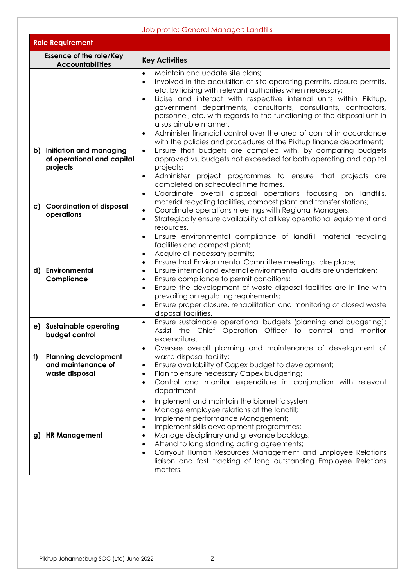|    | Job profile: General Manager: Landfills                              |                                                                                                                                                                                                                                                                                                                                                                                                                                                                                                                                                                                                                             |  |  |  |  |  |
|----|----------------------------------------------------------------------|-----------------------------------------------------------------------------------------------------------------------------------------------------------------------------------------------------------------------------------------------------------------------------------------------------------------------------------------------------------------------------------------------------------------------------------------------------------------------------------------------------------------------------------------------------------------------------------------------------------------------------|--|--|--|--|--|
|    | <b>Role Requirement</b>                                              |                                                                                                                                                                                                                                                                                                                                                                                                                                                                                                                                                                                                                             |  |  |  |  |  |
|    | <b>Essence of the role/Key</b><br><b>Accountabilities</b>            | <b>Key Activities</b>                                                                                                                                                                                                                                                                                                                                                                                                                                                                                                                                                                                                       |  |  |  |  |  |
|    |                                                                      | Maintain and update site plans;<br>$\bullet$<br>Involved in the acquisition of site operating permits, closure permits,<br>$\bullet$<br>etc. by liaising with relevant authorities when necessary;<br>Liaise and interact with respective internal units within Pikitup,<br>$\bullet$<br>government departments, consultants, consultants, contractors,<br>personnel, etc. with regards to the functioning of the disposal unit in<br>a sustainable manner.                                                                                                                                                                 |  |  |  |  |  |
|    | b) Initiation and managing<br>of operational and capital<br>projects | Administer financial control over the area of control in accordance<br>$\bullet$<br>with the policies and procedures of the Pikitup finance department;<br>Ensure that budgets are complied with, by comparing budgets<br>$\bullet$<br>approved vs. budgets not exceeded for both operating and capital<br>projects;<br>Administer project programmes to ensure that projects are<br>$\bullet$<br>completed on scheduled time frames.                                                                                                                                                                                       |  |  |  |  |  |
|    | c) Coordination of disposal<br>operations                            | Coordinate overall disposal operations focussing on landfills,<br>$\bullet$<br>material recycling facilities, compost plant and transfer stations;<br>Coordinate operations meetings with Regional Managers;<br>$\bullet$<br>Strategically ensure availability of all key operational equipment and<br>$\bullet$<br>resources.                                                                                                                                                                                                                                                                                              |  |  |  |  |  |
|    | d) Environmental<br>Compliance                                       | Ensure environmental compliance of landfill, material recycling<br>$\bullet$<br>facilities and compost plant;<br>Acquire all necessary permits;<br>$\bullet$<br>Ensure that Environmental Committee meetings take place;<br>$\bullet$<br>Ensure internal and external environmental audits are undertaken;<br>$\bullet$<br>Ensure compliance to permit conditions;<br>$\bullet$<br>Ensure the development of waste disposal facilities are in line with<br>$\bullet$<br>prevailing or regulating requirements;<br>Ensure proper closure, rehabilitation and monitoring of closed waste<br>$\bullet$<br>disposal facilities. |  |  |  |  |  |
|    | e) Sustainable operating<br>budget control                           | Ensure sustainable operational budgets (planning and budgeting):<br>$\bullet$<br>Assist the Chief Operation Officer to control and monitor<br>expenditure.                                                                                                                                                                                                                                                                                                                                                                                                                                                                  |  |  |  |  |  |
| f) | <b>Planning development</b><br>and maintenance of<br>waste disposal  | Oversee overall planning and maintenance of development of<br>$\bullet$<br>waste disposal facility;<br>Ensure availability of Capex budget to development;<br>$\bullet$<br>Plan to ensure necessary Capex budgeting;<br>$\bullet$<br>Control and monitor expenditure in conjunction with relevant<br>$\bullet$<br>department                                                                                                                                                                                                                                                                                                |  |  |  |  |  |
|    | g) HR Management                                                     | Implement and maintain the biometric system;<br>$\bullet$<br>Manage employee relations at the landfill;<br>$\bullet$<br>Implement performance Management;<br>$\bullet$<br>Implement skills development programmes;<br>$\bullet$<br>Manage disciplinary and grievance backlogs;<br>$\bullet$<br>Attend to long standing acting agreements;<br>$\bullet$<br>Carryout Human Resources Management and Employee Relations<br>$\bullet$<br>liaison and fast tracking of long outstanding Employee Relations<br>matters.                                                                                                           |  |  |  |  |  |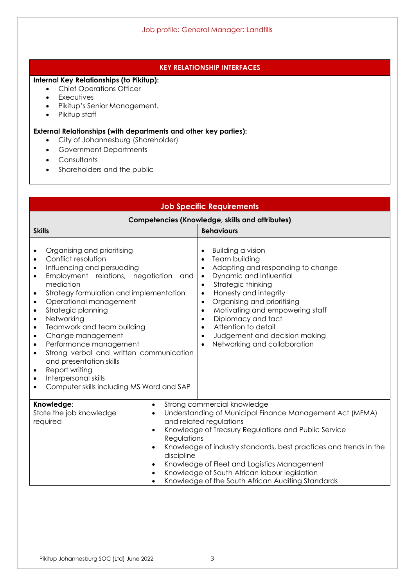## **KEY RELATIONSHIP INTERFACES**

### **Internal Key Relationships (to Pikitup):**

- Chief Operations Officer
- Executives
- Pikitup's Senior Management.
- Pikitup staff

### **External Relationships (with departments and other key parties):**

- City of Johannesburg (Shareholder)
- Government Departments
- **Consultants**
- Shareholders and the public

| <b>Job Specific Requirements</b>                                                                                                                                                                                                                                                                                                                                                                                                                                                                                                                                                                                                              |                                                                                                                                                                                                                                                                                                                                                                                                                                                               |  |  |  |
|-----------------------------------------------------------------------------------------------------------------------------------------------------------------------------------------------------------------------------------------------------------------------------------------------------------------------------------------------------------------------------------------------------------------------------------------------------------------------------------------------------------------------------------------------------------------------------------------------------------------------------------------------|---------------------------------------------------------------------------------------------------------------------------------------------------------------------------------------------------------------------------------------------------------------------------------------------------------------------------------------------------------------------------------------------------------------------------------------------------------------|--|--|--|
| <b>Competencies (Knowledge, skills and attributes)</b>                                                                                                                                                                                                                                                                                                                                                                                                                                                                                                                                                                                        |                                                                                                                                                                                                                                                                                                                                                                                                                                                               |  |  |  |
| <b>Skills</b>                                                                                                                                                                                                                                                                                                                                                                                                                                                                                                                                                                                                                                 | <b>Behaviours</b>                                                                                                                                                                                                                                                                                                                                                                                                                                             |  |  |  |
| Organising and prioritising<br>٠<br>Conflict resolution<br>$\bullet$<br>Influencing and persuading<br>$\bullet$<br>Employment relations, negotiation<br>and<br>$\bullet$<br>mediation<br>Strategy formulation and implementation<br>$\bullet$<br>Operational management<br>$\bullet$<br>Strategic planning<br>$\bullet$<br>Networking<br>$\bullet$<br>Teamwork and team building<br>$\bullet$<br>Change management<br>٠<br>Performance management<br>$\bullet$<br>Strong verbal and written communication<br>$\bullet$<br>and presentation skills<br>Report writing<br>Interpersonal skills<br>٠<br>Computer skills including MS Word and SAP | <b>Building a vision</b><br>Team building<br>$\bullet$<br>Adapting and responding to change<br>Dynamic and Influential<br>$\bullet$<br>Strategic thinking<br>$\bullet$<br>Honesty and integrity<br>$\bullet$<br>Organising and prioritising<br>$\bullet$<br>Motivating and empowering staff<br>$\bullet$<br>Diplomacy and tact<br>$\bullet$<br>Attention to detail<br>$\bullet$<br>Judgement and decision making<br>$\bullet$<br>Networking and collaboration |  |  |  |
| Knowledge:<br>$\bullet$<br>State the job knowledge<br>$\bullet$<br>required<br>$\bullet$<br>Regulations<br>$\bullet$<br>discipline<br>$\bullet$<br>$\bullet$                                                                                                                                                                                                                                                                                                                                                                                                                                                                                  | Strong commercial knowledge<br>Understanding of Municipal Finance Management Act (MFMA)<br>and related regulations<br>Knowledge of Treasury Regulations and Public Service<br>Knowledge of industry standards, best practices and trends in the<br>Knowledge of Fleet and Logistics Management<br>Knowledge of South African labour legislation<br>Knowledge of the South African Auditing Standards                                                          |  |  |  |